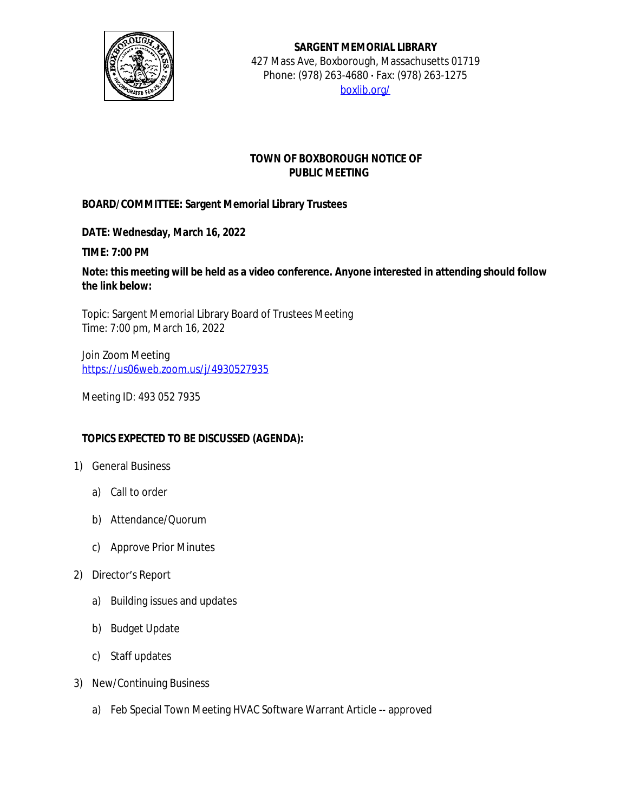

## **SARGENT MEMORIAL LIBRARY** 427 Mass Ave, Boxborough, Massachusetts 01719 Phone: (978) 263-4680 **·** Fax: (978) 263-1275 [boxlib.org/](https://boxlib.org/)

## **TOWN OF BOXBOROUGH NOTICE OF PUBLIC MEETING**

## **BOARD/COMMITTEE: Sargent Memorial Library Trustees**

**DATE: Wednesday, March 16, 2022**

**TIME: 7:00 PM**

**Note: this meeting will be held as a video conference. Anyone interested in attending should follow the link below:**

Topic: Sargent Memorial Library Board of Trustees Meeting Time: 7:00 pm, March 16, 2022

Join Zoom Meeting [https://us06web.zoom.us/j/4930527935](https://us06web.zoom.us/j/4930527935%20)

Meeting ID: 493 052 7935

## **TOPICS EXPECTED TO BE DISCUSSED (AGENDA):**

- 1) General Business
	- a) Call to order
	- b) Attendance/Quorum
	- c) Approve Prior Minutes
- 2) Director's Report
	- a) Building issues and updates
	- b) Budget Update
	- c) Staff updates
- 3) New/Continuing Business
	- a) Feb Special Town Meeting HVAC Software Warrant Article -- approved